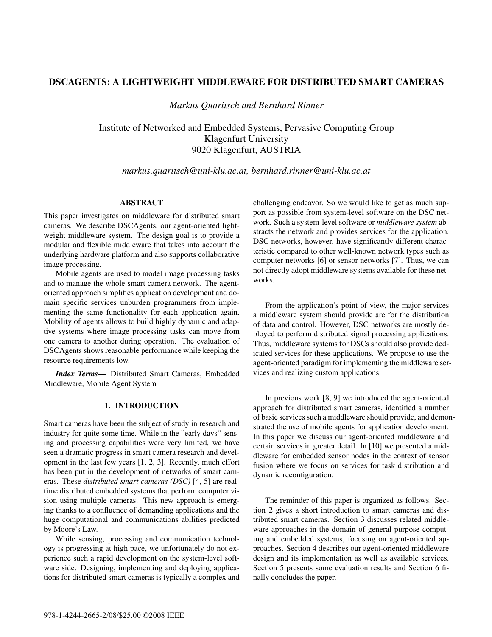# DSCAGENTS: A LIGHTWEIGHT MIDDLEWARE FOR DISTRIBUTED SMART CAMERAS

*Markus Quaritsch and Bernhard Rinner*

Institute of Networked and Embedded Systems, Pervasive Computing Group Klagenfurt University 9020 Klagenfurt, AUSTRIA

*markus.quaritsch@uni-klu.ac.at, bernhard.rinner@uni-klu.ac.at*

## ABSTRACT

This paper investigates on middleware for distributed smart cameras. We describe DSCAgents, our agent-oriented lightweight middleware system. The design goal is to provide a modular and flexible middleware that takes into account the underlying hardware platform and also supports collaborative image processing.

Mobile agents are used to model image processing tasks and to manage the whole smart camera network. The agentoriented approach simplifies application development and domain specific services unburden programmers from implementing the same functionality for each application again. Mobility of agents allows to build highly dynamic and adaptive systems where image processing tasks can move from one camera to another during operation. The evaluation of DSCAgents shows reasonable performance while keeping the resource requirements low.

*Index Terms*— Distributed Smart Cameras, Embedded Middleware, Mobile Agent System

#### 1. INTRODUCTION

Smart cameras have been the subject of study in research and industry for quite some time. While in the "early days" sensing and processing capabilities were very limited, we have seen a dramatic progress in smart camera research and development in the last few years [\[1,](#page-5-0) [2,](#page-5-1) [3\]](#page-5-2). Recently, much effort has been put in the development of networks of smart cameras. These *distributed smart cameras (DSC)* [\[4,](#page-5-3) [5\]](#page-5-4) are realtime distributed embedded systems that perform computer vision using multiple cameras. This new approach is emerging thanks to a confluence of demanding applications and the huge computational and communications abilities predicted by Moore's Law.

While sensing, processing and communication technology is progressing at high pace, we unfortunately do not experience such a rapid development on the system-level software side. Designing, implementing and deploying applications for distributed smart cameras is typically a complex and challenging endeavor. So we would like to get as much support as possible from system-level software on the DSC network. Such a system-level software or *middleware system* abstracts the network and provides services for the application. DSC networks, however, have significantly different characteristic compared to other well-known network types such as computer networks [\[6\]](#page-6-0) or sensor networks [\[7\]](#page-6-1). Thus, we can not directly adopt middleware systems available for these networks.

From the application's point of view, the major services a middleware system should provide are for the distribution of data and control. However, DSC networks are mostly deployed to perform distributed signal processing applications. Thus, middleware systems for DSCs should also provide dedicated services for these applications. We propose to use the agent-oriented paradigm for implementing the middleware services and realizing custom applications.

In previous work [\[8,](#page-6-2) [9\]](#page-6-3) we introduced the agent-oriented approach for distributed smart cameras, identified a number of basic services such a middleware should provide, and demonstrated the use of mobile agents for application development. In this paper we discuss our agent-oriented middleware and certain services in greater detail. In [\[10\]](#page-6-4) we presented a middleware for embedded sensor nodes in the context of sensor fusion where we focus on services for task distribution and dynamic reconfiguration.

The reminder of this paper is organized as follows. Section [2](#page-1-0) gives a short introduction to smart cameras and distributed smart cameras. Section [3](#page-1-1) discusses related middleware approaches in the domain of general purpose computing and embedded systems, focusing on agent-oriented approaches. Section [4](#page-2-0) describes our agent-oriented middleware design and its implementation as well as available services. Section [5](#page-4-0) presents some evaluation results and Section [6](#page-5-5) finally concludes the paper.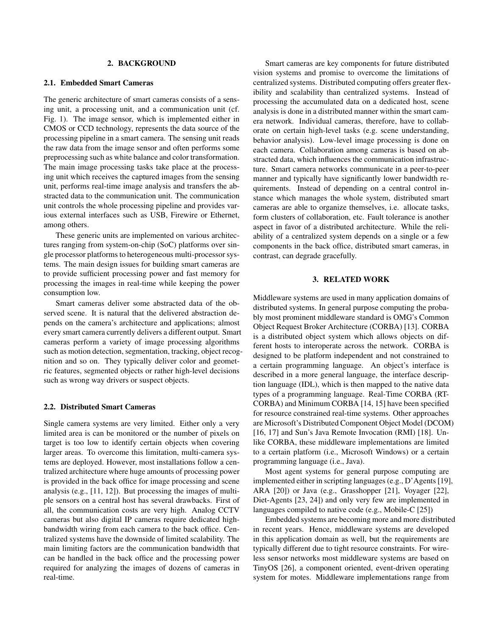#### 2. BACKGROUND

#### <span id="page-1-2"></span><span id="page-1-0"></span>2.1. Embedded Smart Cameras

The generic architecture of smart cameras consists of a sensing unit, a processing unit, and a communication unit (cf. Fig. [1\)](#page-2-1). The image sensor, which is implemented either in CMOS or CCD technology, represents the data source of the processing pipeline in a smart camera. The sensing unit reads the raw data from the image sensor and often performs some preprocessing such as white balance and color transformation. The main image processing tasks take place at the processing unit which receives the captured images from the sensing unit, performs real-time image analysis and transfers the abstracted data to the communication unit. The communication unit controls the whole processing pipeline and provides various external interfaces such as USB, Firewire or Ethernet, among others.

These generic units are implemented on various architectures ranging from system-on-chip (SoC) platforms over single processor platforms to heterogeneous multi-processor systems. The main design issues for building smart cameras are to provide sufficient processing power and fast memory for processing the images in real-time while keeping the power consumption low.

Smart cameras deliver some abstracted data of the observed scene. It is natural that the delivered abstraction depends on the camera's architecture and applications; almost every smart camera currently delivers a different output. Smart cameras perform a variety of image processing algorithms such as motion detection, segmentation, tracking, object recognition and so on. They typically deliver color and geometric features, segmented objects or rather high-level decisions such as wrong way drivers or suspect objects.

#### 2.2. Distributed Smart Cameras

Single camera systems are very limited. Either only a very limited area is can be monitored or the number of pixels on target is too low to identify certain objects when covering larger areas. To overcome this limitation, multi-camera systems are deployed. However, most installations follow a centralized architecture where huge amounts of processing power is provided in the back office for image processing and scene analysis (e.g., [\[11,](#page-6-5) [12\]](#page-6-6)). But processing the images of multiple sensors on a central host has several drawbacks. First of all, the communication costs are very high. Analog CCTV cameras but also digital IP cameras require dedicated highbandwidth wiring from each camera to the back office. Centralized systems have the downside of limited scalability. The main limiting factors are the communication bandwidth that can be handled in the back office and the processing power required for analyzing the images of dozens of cameras in real-time.

Smart cameras are key components for future distributed vision systems and promise to overcome the limitations of centralized systems. Distributed computing offers greater flexibility and scalability than centralized systems. Instead of processing the accumulated data on a dedicated host, scene analysis is done in a distributed manner within the smart camera network. Individual cameras, therefore, have to collaborate on certain high-level tasks (e.g. scene understanding, behavior analysis). Low-level image processing is done on each camera. Collaboration among cameras is based on abstracted data, which influences the communication infrastructure. Smart camera networks communicate in a peer-to-peer manner and typically have significantly lower bandwidth requirements. Instead of depending on a central control instance which manages the whole system, distributed smart cameras are able to organize themselves, i.e. allocate tasks, form clusters of collaboration, etc. Fault tolerance is another aspect in favor of a distributed architecture. While the reliability of a centralized system depends on a single or a few components in the back office, distributed smart cameras, in contrast, can degrade gracefully.

#### 3. RELATED WORK

<span id="page-1-1"></span>Middleware systems are used in many application domains of distributed systems. In general purpose computing the probably most prominent middleware standard is OMG's Common Object Request Broker Architecture (CORBA) [\[13\]](#page-6-7). CORBA is a distributed object system which allows objects on different hosts to interoperate across the network. CORBA is designed to be platform independent and not constrained to a certain programming language. An object's interface is described in a more general language, the interface description language (IDL), which is then mapped to the native data types of a programming language. Real-Time CORBA (RT-CORBA) and Minimum CORBA [\[14,](#page-6-8) [15\]](#page-6-9) have been specified for resource constrained real-time systems. Other approaches are Microsoft's Distributed Component Object Model (DCOM) [\[16,](#page-6-10) [17\]](#page-6-11) and Sun's Java Remote Invocation (RMI) [\[18\]](#page-6-12). Unlike CORBA, these middleware implementations are limited to a certain platform (i.e., Microsoft Windows) or a certain programming language (i.e., Java).

Most agent systems for general purpose computing are implemented either in scripting languages (e.g., D'Agents [\[19\]](#page-6-13), ARA [\[20\]](#page-6-14)) or Java (e.g., Grasshopper [\[21\]](#page-6-15), Voyager [\[22\]](#page-6-16), Diet-Agents [\[23,](#page-6-17) [24\]](#page-6-18)) and only very few are implemented in languages compiled to native code (e.g., Mobile-C [\[25\]](#page-6-19))

Embedded systems are becoming more and more distributed in recent years. Hence, middleware systems are developed in this application domain as well, but the requirements are typically different due to tight resource constraints. For wireless sensor networks most middleware systems are based on TinyOS [\[26\]](#page-6-20), a component oriented, event-driven operating system for motes. Middleware implementations range from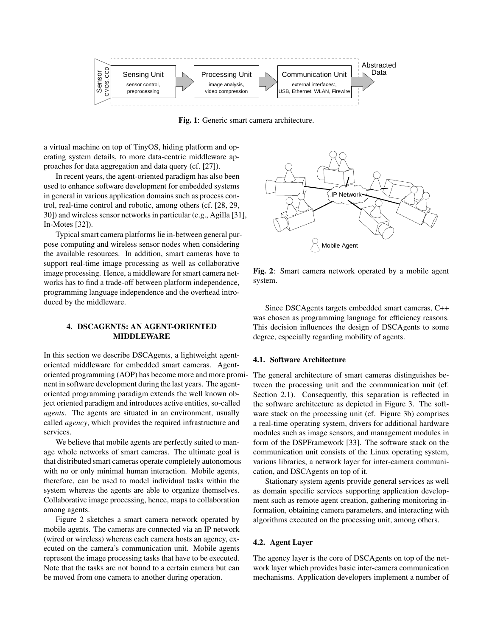

<span id="page-2-1"></span>Fig. 1: Generic smart camera architecture.

a virtual machine on top of TinyOS, hiding platform and operating system details, to more data-centric middleware approaches for data aggregation and data query (cf. [\[27\]](#page-6-21)).

In recent years, the agent-oriented paradigm has also been used to enhance software development for embedded systems in general in various application domains such as process control, real-time control and robotic, among others (cf. [\[28,](#page-7-0) [29,](#page-7-1) [30\]](#page-7-2)) and wireless sensor networks in particular (e.g., Agilla [\[31\]](#page-7-3), In-Motes [\[32\]](#page-7-4)).

Typical smart camera platforms lie in-between general purpose computing and wireless sensor nodes when considering the available resources. In addition, smart cameras have to support real-time image processing as well as collaborative image processing. Hence, a middleware for smart camera networks has to find a trade-off between platform independence, programming language independence and the overhead introduced by the middleware.

### <span id="page-2-0"></span>4. DSCAGENTS: AN AGENT-ORIENTED MIDDLEWARE

In this section we describe DSCAgents, a lightweight agentoriented middleware for embedded smart cameras. Agentoriented programming (AOP) has become more and more promi-The general architecture of smart cameras distinguishes benent in software development during the last years. The agentoriented programming paradigm extends the well known object oriented paradigm and introduces active entities, so-called *agents*. The agents are situated in an environment, usually called *agency*, which provides the required infrastructure and services.

We believe that mobile agents are perfectly suited to manage whole networks of smart cameras. The ultimate goal is that distributed smart cameras operate completely autonomous with no or only minimal human interaction. Mobile agents, therefore, can be used to model individual tasks within the system whereas the agents are able to organize themselves. Collaborative image processing, hence, maps to collaboration among agents.

Figure [2](#page-2-2) sketches a smart camera network operated by mobile agents. The cameras are connected via an IP network (wired or wireless) whereas each camera hosts an agency, executed on the camera's communication unit. Mobile agents represent the image processing tasks that have to be executed. Note that the tasks are not bound to a certain camera but can be moved from one camera to another during operation.



<span id="page-2-2"></span>Fig. 2: Smart camera network operated by a mobile agent system.

Since DSCAgents targets embedded smart cameras, C++ was chosen as programming language for efficiency reasons. This decision influences the design of DSCAgents to some degree, especially regarding mobility of agents.

#### 4.1. Software Architecture

tween the processing unit and the communication unit (cf. Section [2.1\)](#page-1-2). Consequently, this separation is reflected in the software architecture as depicted in Figure [3.](#page-3-0) The software stack on the processing unit (cf. Figure [3b\)](#page-3-1) comprises a real-time operating system, drivers for additional hardware modules such as image sensors, and management modules in form of the DSPFramework [\[33\]](#page-7-5). The software stack on the communication unit consists of the Linux operating system, various libraries, a network layer for inter-camera communication, and DSCAgents on top of it.

Stationary system agents provide general services as well as domain specific services supporting application development such as remote agent creation, gathering monitoring information, obtaining camera parameters, and interacting with algorithms executed on the processing unit, among others.

### 4.2. Agent Layer

The agency layer is the core of DSCAgents on top of the network layer which provides basic inter-camera communication mechanisms. Application developers implement a number of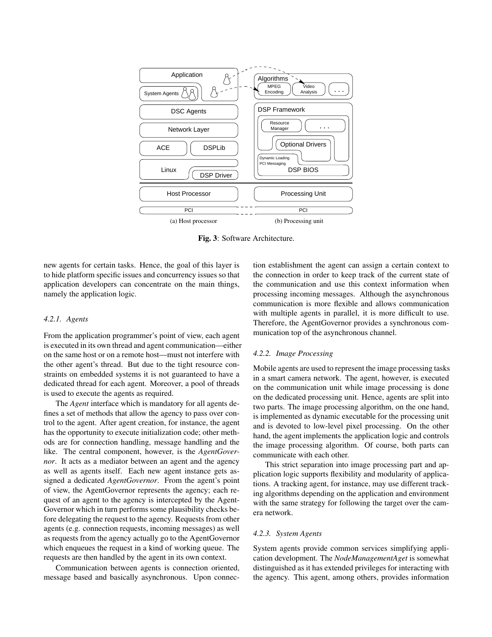

<span id="page-3-1"></span><span id="page-3-0"></span>Fig. 3: Software Architecture.

new agents for certain tasks. Hence, the goal of this layer is to hide platform specific issues and concurrency issues so that application developers can concentrate on the main things, namely the application logic.

#### *4.2.1. Agents*

From the application programmer's point of view, each agent is executed in its own thread and agent communication—either on the same host or on a remote host—must not interfere with the other agent's thread. But due to the tight resource constraints on embedded systems it is not guaranteed to have a dedicated thread for each agent. Moreover, a pool of threads is used to execute the agents as required.

The *Agent* interface which is mandatory for all agents defines a set of methods that allow the agency to pass over control to the agent. After agent creation, for instance, the agent has the opportunity to execute initialization code; other methods are for connection handling, message handling and the like. The central component, however, is the *AgentGovernor*. It acts as a mediator between an agent and the agency as well as agents itself. Each new agent instance gets assigned a dedicated *AgentGovernor*. From the agent's point of view, the AgentGovernor represents the agency; each request of an agent to the agency is intercepted by the Agent-Governor which in turn performs some plausibility checks before delegating the request to the agency. Requests from other agents (e.g. connection requests, incoming messages) as well as requests from the agency actually go to the AgentGovernor which enqueues the request in a kind of working queue. The requests are then handled by the agent in its own context.

Communication between agents is connection oriented, message based and basically asynchronous. Upon connection establishment the agent can assign a certain context to the connection in order to keep track of the current state of the communication and use this context information when processing incoming messages. Although the asynchronous communication is more flexible and allows communication with multiple agents in parallel, it is more difficult to use. Therefore, the AgentGovernor provides a synchronous communication top of the asynchronous channel.

### *4.2.2. Image Processing*

Mobile agents are used to represent the image processing tasks in a smart camera network. The agent, however, is executed on the communication unit while image processing is done on the dedicated processing unit. Hence, agents are split into two parts. The image processing algorithm, on the one hand, is implemented as dynamic executable for the processing unit and is devoted to low-level pixel processing. On the other hand, the agent implements the application logic and controls the image processing algorithm. Of course, both parts can communicate with each other.

This strict separation into image processing part and application logic supports flexibility and modularity of applications. A tracking agent, for instance, may use different tracking algorithms depending on the application and environment with the same strategy for following the target over the camera network.

#### *4.2.3. System Agents*

System agents provide common services simplifying application development. The *NodeManagementAget* is somewhat distinguished as it has extended privileges for interacting with the agency. This agent, among others, provides information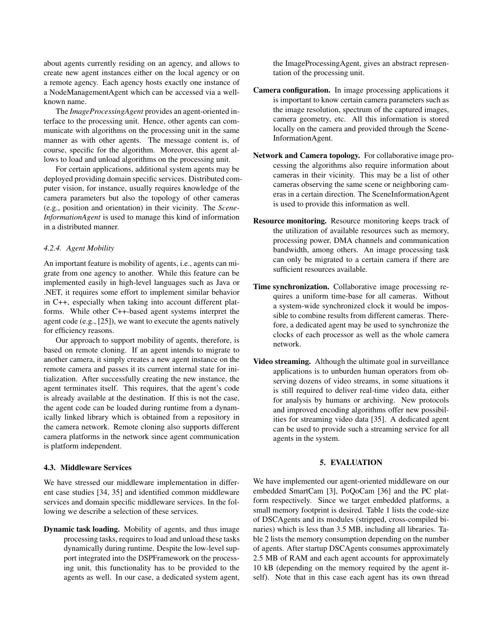about agents currently residing on an agency, and allows to create new agent instances either on the local agency or on a remote agency. Each agency hosts exactly one instance of a NodeManagementAgent which can be accessed via a wellknown name.

The *ImageProcessingAgent* provides an agent-oriented interface to the processing unit. Hence, other agents can communicate with algorithms on the processing unit in the same manner as with other agents. The message content is, of course, specific for the algorithm. Moreover, this agent allows to load and unload algorithms on the processing unit.

For certain applications, additional system agents may be deployed providing domain specific services. Distributed computer vision, for instance, usually requires knowledge of the camera parameters but also the topology of other cameras (e.g., position and orientation) in their vicinity. The *Scene-InformationAgent* is used to manage this kind of information in a distributed manner.

### *4.2.4. Agent Mobility*

An important feature is mobility of agents, i.e., agents can migrate from one agency to another. While this feature can be implemented easily in high-level languages such as Java or .NET, it requires some effort to implement similar behavior in C++, especially when taking into account different platforms. While other C++-based agent systems interpret the agent code (e.g., [\[25\]](#page-6-19)), we want to execute the agents natively for efficiency reasons.

Our approach to support mobility of agents, therefore, is based on remote cloning. If an agent intends to migrate to another camera, it simply creates a new agent instance on the remote camera and passes it its current internal state for initialization. After successfully creating the new instance, the agent terminates itself. This requires, that the agent's code is already available at the destination. If this is not the case, the agent code can be loaded during runtime from a dynamically linked library which is obtained from a repository in the camera network. Remote cloning also supports different camera platforms in the network since agent communication is platform independent.

#### 4.3. Middleware Services

We have stressed our middleware implementation in different case studies [\[34,](#page-7-6) [35\]](#page-7-7) and identified common middleware services and domain specific middleware services. In the following we describe a selection of these services.

Dynamic task loading. Mobility of agents, and thus image processing tasks, requires to load and unload these tasks dynamically during runtime. Despite the low-level support integrated into the DSPFramework on the processing unit, this functionality has to be provided to the agents as well. In our case, a dedicated system agent,

the ImageProcessingAgent, gives an abstract representation of the processing unit.

- Camera configuration. In image processing applications it is important to know certain camera parameters such as the image resolution, spectrum of the captured images, camera geometry, etc. All this information is stored locally on the camera and provided through the Scene-InformationAgent.
- Network and Camera topology. For collaborative image processing the algorithms also require information about cameras in their vicinity. This may be a list of other cameras observing the same scene or neighboring cameras in a certain direction. The SceneInformationAgent is used to provide this information as well.
- Resource monitoring. Resource monitoring keeps track of the utilization of available resources such as memory, processing power, DMA channels and communication bandwidth, among others. An image processing task can only be migrated to a certain camera if there are sufficient resources available.
- Time synchronization. Collaborative image processing requires a uniform time-base for all cameras. Without a system-wide synchronized clock it would be impossible to combine results from different cameras. Therefore, a dedicated agent may be used to synchronize the clocks of each processor as well as the whole camera network.
- Video streaming. Although the ultimate goal in surveillance applications is to unburden human operators from observing dozens of video streams, in some situations it is still required to deliver real-time video data, either for analysis by humans or archiving. New protocols and improved encoding algorithms offer new possibilities for streaming video data [\[35\]](#page-7-7). A dedicated agent can be used to provide such a streaming service for all agents in the system.

#### 5. EVALUATION

<span id="page-4-0"></span>We have implemented our agent-oriented middleware on our embedded SmartCam [\[3\]](#page-5-2), PoQoCam [\[36\]](#page-7-8) and the PC platform respectively. Since we target embedded platforms, a small memory footprint is desired. Table [1](#page-5-6) lists the code-size of DSCAgents and its modules (stripped, cross-compiled binaries) which is less than 3.5 MB, including all libraries. Table [2](#page-5-7) lists the memory consumption depending on the number of agents. After startup DSCAgents consumes approximately 2.5 MB of RAM and each agent accounts for approximately 10 kB (depending on the memory required by the agent itself). Note that in this case each agent has its own thread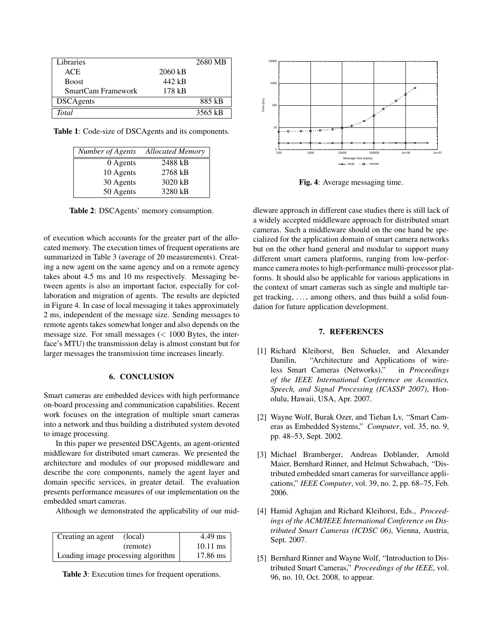| Libraries                 |         | 2680 MB |
|---------------------------|---------|---------|
| ACE                       | 2060 kB |         |
| <b>Boost</b>              | 442 kB  |         |
| <b>SmartCam Framework</b> | 178 kB  |         |
| <b>DSCAgents</b>          |         | 885 kB  |
| <b>Total</b>              |         | 3565 kB |

Table 1: Code-size of DSCAgents and its components.

<span id="page-5-6"></span>

| Number of Agents | <b>Allocated Memory</b> |
|------------------|-------------------------|
| 0 Agents         | 2488 kB                 |
| 10 Agents        | 2768 kB                 |
| 30 Agents        | 3020 kB                 |
| 50 Agents        | 3280 kB                 |

<span id="page-5-7"></span>Table 2: DSCAgents' memory consumption.

of execution which accounts for the greater part of the allocated memory. The execution times of frequent operations are summarized in Table [3](#page-5-8) (average of 20 measurements). Creating a new agent on the same agency and on a remote agency takes about 4.5 ms and 10 ms respectively. Messaging between agents is also an important factor, especially for collaboration and migration of agents. The results are depicted in Figure [4.](#page-5-9) In case of local messaging it takes approximately 2 ms, independent of the message size. Sending messages to remote agents takes somewhat longer and also depends on the message size. For small messages  $\ll 1000$  Bytes, the interface's MTU) the transmission delay is almost constant but for larger messages the transmission time increases linearly.

# 6. CONCLUSION

<span id="page-5-5"></span>Smart cameras are embedded devices with high performance on-board processing and communication capabilities. Recent work focuses on the integration of multiple smart cameras into a network and thus building a distributed system devoted to image processing.

In this paper we presented DSCAgents, an agent-oriented middleware for distributed smart cameras. We presented the architecture and modules of our proposed middleware and describe the core components, namely the agent layer and domain specific services, in greater detail. The evaluation presents performance measures of our implementation on the embedded smart cameras.

Although we demonstrated the applicability of our mid-

| Creating an agent                  | (local)  | $4.49$ ms  |
|------------------------------------|----------|------------|
|                                    | (remote) | $10.11$ ms |
| Loading image processing algorithm |          | 17.86 ms   |

<span id="page-5-8"></span>Table 3: Execution times for frequent operations.



<span id="page-5-9"></span>Fig. 4: Average messaging time.

dleware approach in different case studies there is still lack of a widely accepted middleware approach for distributed smart cameras. Such a middleware should on the one hand be specialized for the application domain of smart camera networks but on the other hand general and modular to support many different smart camera platforms, ranging from low-performance camera motes to high-performance multi-processor platforms. It should also be applicable for various applications in the context of smart cameras such as single and multiple target tracking, ..., among others, and thus build a solid foundation for future application development.

### 7. REFERENCES

- <span id="page-5-0"></span>[1] Richard Kleihorst, Ben Schueler, and Alexander Danilin, "Architecture and Applications of wireless Smart Cameras (Networks)," in *Proceedings of the IEEE International Conference on Acoustics, Speech, and Signal Processing (ICASSP 2007)*, Honolulu, Hawaii, USA, Apr. 2007.
- <span id="page-5-1"></span>[2] Wayne Wolf, Burak Ozer, and Tiehan Lv, "Smart Cameras as Embedded Systems," *Computer*, vol. 35, no. 9, pp. 48–53, Sept. 2002.
- <span id="page-5-2"></span>[3] Michael Bramberger, Andreas Doblander, Arnold Maier, Bernhard Rinner, and Helmut Schwabach, "Distributed embedded smart cameras for surveillance applications," *IEEE Computer*, vol. 39, no. 2, pp. 68–75, Feb. 2006.
- <span id="page-5-3"></span>[4] Hamid Aghajan and Richard Kleihorst, Eds., *Proceedings of the ACM/IEEE International Conference on Distributed Smart Cameras (ICDSC 06)*, Vienna, Austria, Sept. 2007.
- <span id="page-5-4"></span>[5] Bernhard Rinner and Wayne Wolf, "Introduction to Distributed Smart Cameras," *Proceedings of the IEEE*, vol. 96, no. 10, Oct. 2008, to appear.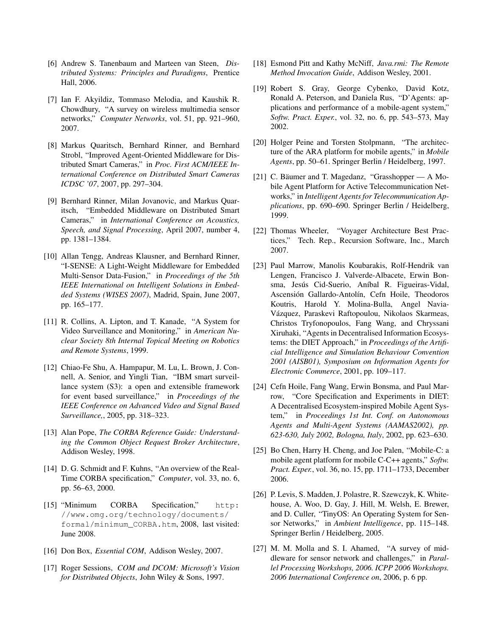- <span id="page-6-0"></span>[6] Andrew S. Tanenbaum and Marteen van Steen, *Distributed Systems: Principles and Paradigms*, Prentice Hall, 2006.
- <span id="page-6-1"></span>[7] Ian F. Akyildiz, Tommaso Melodia, and Kaushik R. Chowdhury, "A survey on wireless multimedia sensor networks," *Computer Networks*, vol. 51, pp. 921–960, 2007.
- <span id="page-6-2"></span>[8] Markus Quaritsch, Bernhard Rinner, and Bernhard Strobl, "Improved Agent-Oriented Middleware for Distributed Smart Cameras," in *Proc. First ACM/IEEE International Conference on Distributed Smart Cameras ICDSC '07*, 2007, pp. 297–304.
- <span id="page-6-3"></span>[9] Bernhard Rinner, Milan Jovanovic, and Markus Quaritsch, "Embedded Middleware on Distributed Smart Cameras," in *International Conference on Acoustics, Speech, and Signal Processing*, April 2007, number 4, pp. 1381–1384.
- <span id="page-6-4"></span>[10] Allan Tengg, Andreas Klausner, and Bernhard Rinner, "I-SENSE: A Light-Weight Middleware for Embedded Multi-Sensor Data-Fusion," in *Proceedings of the 5th IEEE International on Intelligent Solutions in Embedded Systems (WISES 2007)*, Madrid, Spain, June 2007, pp. 165–177.
- <span id="page-6-5"></span>[11] R. Collins, A. Lipton, and T. Kanade, "A System for Video Surveillance and Monitoring," in *American Nuclear Society 8th Internal Topical Meeting on Robotics and Remote Systems*, 1999.
- <span id="page-6-6"></span>[12] Chiao-Fe Shu, A. Hampapur, M. Lu, L. Brown, J. Connell, A. Senior, and Yingli Tian, "IBM smart surveillance system (S3): a open and extensible framework for event based surveillance," in *Proceedings of the IEEE Conference on Advanced Video and Signal Based Surveillance,*, 2005, pp. 318–323.
- <span id="page-6-7"></span>[13] Alan Pope, *The CORBA Reference Guide: Understanding the Common Object Request Broker Architecture*, Addison Wesley, 1998.
- <span id="page-6-8"></span>[14] D. G. Schmidt and F. Kuhns, "An overview of the Real-Time CORBA specification," *Computer*, vol. 33, no. 6, pp. 56–63, 2000.
- <span id="page-6-9"></span>[15] "Minimum CORBA Specification," [http:](http://www.omg.org/technology/documents/formal/minimum_CORBA.htm) [//www.omg.org/technology/documents/](http://www.omg.org/technology/documents/formal/minimum_CORBA.htm) [formal/minimum\\_CORBA.htm](http://www.omg.org/technology/documents/formal/minimum_CORBA.htm), 2008, last visited: June 2008.
- <span id="page-6-10"></span>[16] Don Box, *Essential COM*, Addison Wesley, 2007.
- <span id="page-6-11"></span>[17] Roger Sessions, *COM and DCOM: Microsoft's Vision for Distributed Objects*, John Wiley & Sons, 1997.
- <span id="page-6-12"></span>[18] Esmond Pitt and Kathy McNiff, *Java.rmi: The Remote Method Invocation Guide*, Addison Wesley, 2001.
- <span id="page-6-13"></span>[19] Robert S. Gray, George Cybenko, David Kotz, Ronald A. Peterson, and Daniela Rus, "D'Agents: applications and performance of a mobile-agent system," *Softw. Pract. Exper.*, vol. 32, no. 6, pp. 543–573, May 2002.
- <span id="page-6-14"></span>[20] Holger Peine and Torsten Stolpmann, "The architecture of the ARA platform for mobile agents," in *Mobile Agents*, pp. 50–61. Springer Berlin / Heidelberg, 1997.
- <span id="page-6-15"></span>[21] C. Bäumer and T. Magedanz, "Grasshopper — A Mobile Agent Platform for Active Telecommunication Networks," in *Intelligent Agents for Telecommunication Applications*, pp. 690–690. Springer Berlin / Heidelberg, 1999.
- <span id="page-6-16"></span>[22] Thomas Wheeler, "Voyager Architecture Best Practices," Tech. Rep., Recursion Software, Inc., March 2007.
- <span id="page-6-17"></span>[23] Paul Marrow, Manolis Koubarakis, Rolf-Hendrik van Lengen, Francisco J. Valverde-Albacete, Erwin Bonsma, Jesús Cid-Suerio, Aníbal R. Figueiras-Vidal, Ascensión Gallardo-Antolín, Cefn Hoile, Theodoros Koutris, Harold Y. Molina-Bulla, Angel Navia-Vázquez, Paraskevi Raftopoulou, Nikolaos Skarmeas, Christos Tryfonopoulos, Fang Wang, and Chryssani Xiruhaki, "Agents in Decentralised Information Ecosystems: the DIET Approach," in *Proceedings of the Artificial Intelligence and Simulation Behaviour Convention 2001 (AISB01), Symposium on Information Agents for Electronic Commerce*, 2001, pp. 109–117.
- <span id="page-6-18"></span>[24] Cefn Hoile, Fang Wang, Erwin Bonsma, and Paul Marrow, "Core Specification and Experiments in DIET: A Decentralised Ecosystem-inspired Mobile Agent System," in *Proceedings 1st Int. Conf. on Autonomous Agents and Multi-Agent Systems (AAMAS2002), pp. 623-630, July 2002, Bologna, Italy*, 2002, pp. 623–630.
- <span id="page-6-19"></span>[25] Bo Chen, Harry H. Cheng, and Joe Palen, "Mobile-C: a mobile agent platform for mobile C-C++ agents," *Softw. Pract. Exper.*, vol. 36, no. 15, pp. 1711–1733, December 2006.
- <span id="page-6-20"></span>[26] P. Levis, S. Madden, J. Polastre, R. Szewczyk, K. Whitehouse, A. Woo, D. Gay, J. Hill, M. Welsh, E. Brewer, and D. Culler, "TinyOS: An Operating System for Sensor Networks," in *Ambient Intelligence*, pp. 115–148. Springer Berlin / Heidelberg, 2005.
- <span id="page-6-21"></span>[27] M. M. Molla and S. I. Ahamed, "A survey of middleware for sensor network and challenges," in *Parallel Processing Workshops, 2006. ICPP 2006 Workshops. 2006 International Conference on*, 2006, p. 6 pp.